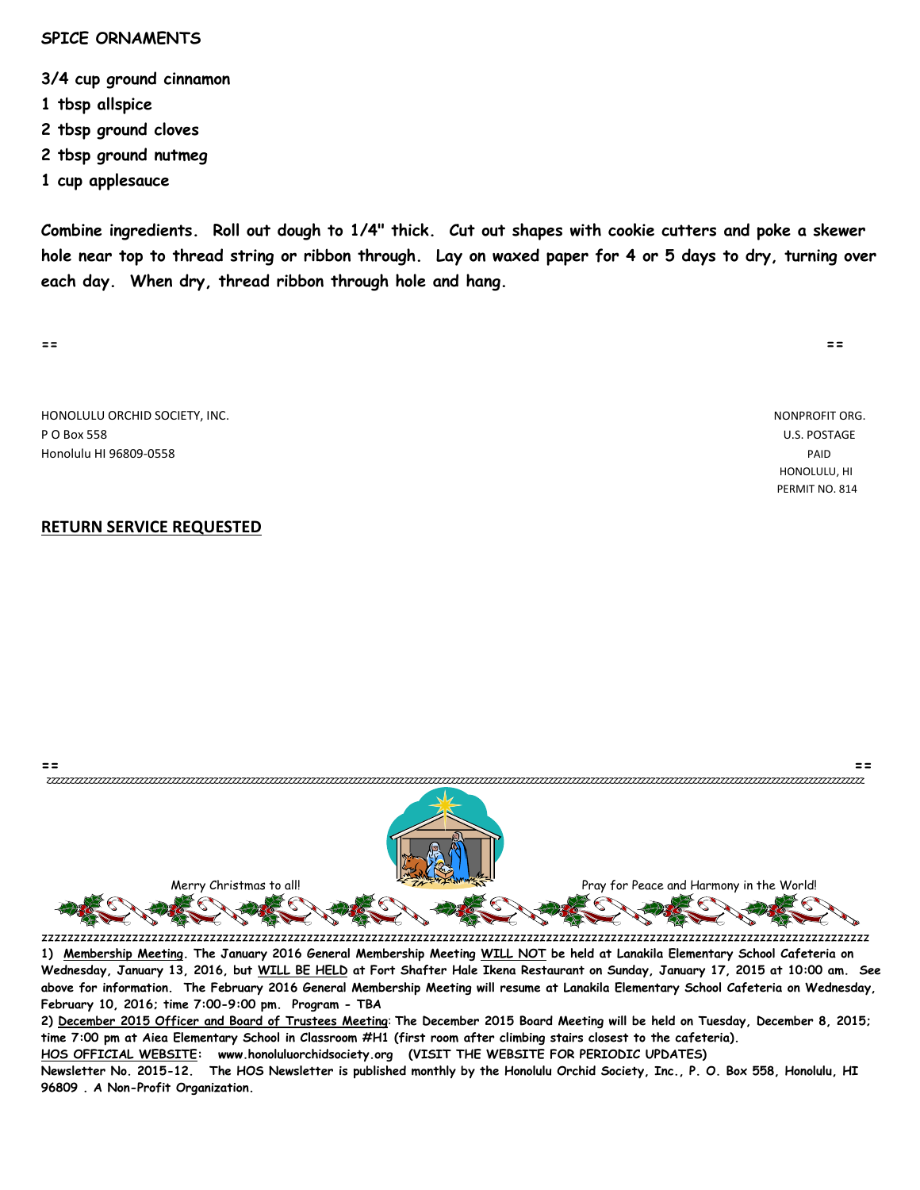#### **SPICE ORNAMENTS**

**3/4 cup ground cinnamon**

- **1 tbsp allspice**
- **2 tbsp ground cloves**
- **2 tbsp ground nutmeg**
- **1 cup applesauce**

**Combine ingredients. Roll out dough to 1/4" thick. Cut out shapes with cookie cutters and poke a skewer hole near top to thread string or ribbon through. Lay on waxed paper for 4 or 5 days to dry, turning over each day. When dry, thread ribbon through hole and hang.**

**== ==**

HONOLULU ORCHID SOCIETY, INC. NONPROFIT ORG. P O Box 558 U.S. POSTAGE Honolulu HI 96809-0558 PAID

### **RETURN SERVICE REQUESTED**

**== ==** zzzzzzzzzzzzzzzzzzzzzzzzzzzzzzzzzzzzzzzzzzzzzzzzzzzzzzzzzzzzzzzzzzzzzzzzzzzzzzzzzzzzzzzzzzzzzzzzzzzzzzzzzzzzzzzzzzzzzzzzzzzzzzzzzzzzzzzzzzzzzzzzzzzzzzzzzzzzzzzzzzzzzzzzzzzzzzzz Merry Christmas to all! الصحيح المستعمر المستعمر المستعمر المستعمر المستعمر المستعمر المستعمر المستعمر المستعمر المستعمر المستعمر المستعمر المستعمر المستعمر المستعمر المستعمر المستعمر المستعمر المستعمر المستعمر المستعمر ا

zzzzzzzzzzzzzzzzzzzzzzzzzzzzzzzzzzzzzzzzzzzzzzzzzzzzzzzzzzzzzzzzzzzzzzzzzzzzzzzzzzzzzzzzzzzzzzzzzzzzzzzzzzzzzzzzzzzzzzzzzzzzzzzz **1) Membership Meeting. The January 2016 General Membership Meeting WILL NOT be held at Lanakila Elementary School Cafeteria on Wednesday, January 13, 2016, but WILL BE HELD at Fort Shafter Hale Ikena Restaurant on Sunday, January 17, 2015 at 10:00 am. See above for information. The February 2016 General Membership Meeting will resume at Lanakila Elementary School Cafeteria on Wednesday, February 10, 2016; time 7:00-9:00 pm. Program - TBA**

**2) December 2015 Officer and Board of Trustees Meeting**: **The December 2015 Board Meeting will be held on Tuesday, December 8, 2015; time 7:00 pm at Aiea Elementary School in Classroom #H1 (first room after climbing stairs closest to the cafeteria). HOS OFFICIAL WEBSITE: www.honoluluorchidsociety.org (VISIT THE WEBSITE FOR PERIODIC UPDATES)**

**Newsletter No. 2015-12. The HOS Newsletter is published monthly by the Honolulu Orchid Society, Inc., P. O. Box 558, Honolulu, HI 96809 . A Non-Profit Organization.** 

 HONOLULU, HI PERMIT NO. 814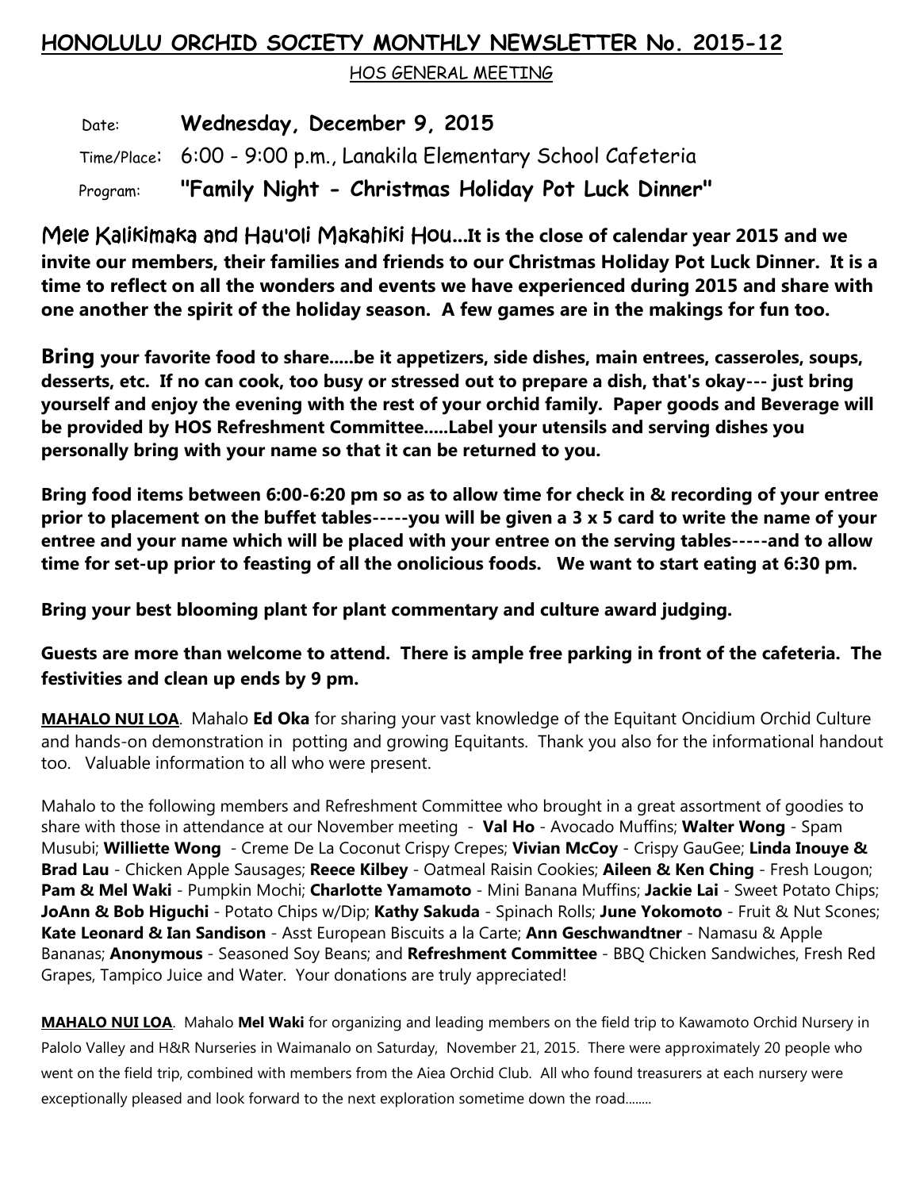# **HONOLULU ORCHID SOCIETY MONTHLY NEWSLETTER No. 2015-12**

HOS GENERAL MEETING

 Date: **Wednesday, December 9, 2015** Time/Place: 6:00 - 9:00 p.m., Lanakila Elementary School Cafeteria Program: **"Family Night - Christmas Holiday Pot Luck Dinner"**

Mele Kalikimaka and Hau'oli Makahiki Hou**...It is the close of calendar year 2015 and we invite our members, their families and friends to our Christmas Holiday Pot Luck Dinner. It is a time to reflect on all the wonders and events we have experienced during 2015 and share with one another the spirit of the holiday season. A few games are in the makings for fun too.** 

**Bring your favorite food to share.....be it appetizers, side dishes, main entrees, casseroles, soups, desserts, etc. If no can cook, too busy or stressed out to prepare a dish, that's okay--- just bring yourself and enjoy the evening with the rest of your orchid family. Paper goods and Beverage will be provided by HOS Refreshment Committee.....Label your utensils and serving dishes you personally bring with your name so that it can be returned to you.**

**Bring food items between 6:00-6:20 pm so as to allow time for check in & recording of your entree prior to placement on the buffet tables-----you will be given a 3 x 5 card to write the name of your entree and your name which will be placed with your entree on the serving tables-----and to allow time for set-up prior to feasting of all the onolicious foods. We want to start eating at 6:30 pm.**

**Bring your best blooming plant for plant commentary and culture award judging.** 

**Guests are more than welcome to attend. There is ample free parking in front of the cafeteria. The festivities and clean up ends by 9 pm.**

**MAHALO NUI LOA**. Mahalo **Ed Oka** for sharing your vast knowledge of the Equitant Oncidium Orchid Culture and hands-on demonstration in potting and growing Equitants. Thank you also for the informational handout too. Valuable information to all who were present.

Mahalo to the following members and Refreshment Committee who brought in a great assortment of goodies to share with those in attendance at our November meeting - **Val Ho** - Avocado Muffins; **Walter Wong** - Spam Musubi; **Williette Wong** - Creme De La Coconut Crispy Crepes; **Vivian McCoy** - Crispy GauGee; **Linda Inouye & Brad Lau** - Chicken Apple Sausages; **Reece Kilbey** - Oatmeal Raisin Cookies; **Aileen & Ken Ching** - Fresh Lougon; **Pam & Mel Waki** - Pumpkin Mochi; **Charlotte Yamamoto** - Mini Banana Muffins; **Jackie Lai** - Sweet Potato Chips; **JoAnn & Bob Higuchi** - Potato Chips w/Dip; **Kathy Sakuda** - Spinach Rolls; **June Yokomoto** - Fruit & Nut Scones; **Kate Leonard & Ian Sandison** - Asst European Biscuits a la Carte; **Ann Geschwandtner** - Namasu & Apple Bananas; **Anonymous** - Seasoned Soy Beans; and **Refreshment Committee** - BBQ Chicken Sandwiches, Fresh Red Grapes, Tampico Juice and Water. Your donations are truly appreciated!

**MAHALO NUI LOA**. Mahalo **Mel Waki** for organizing and leading members on the field trip to Kawamoto Orchid Nursery in Palolo Valley and H&R Nurseries in Waimanalo on Saturday, November 21, 2015. There were approximately 20 people who went on the field trip, combined with members from the Aiea Orchid Club. All who found treasurers at each nursery were exceptionally pleased and look forward to the next exploration sometime down the road........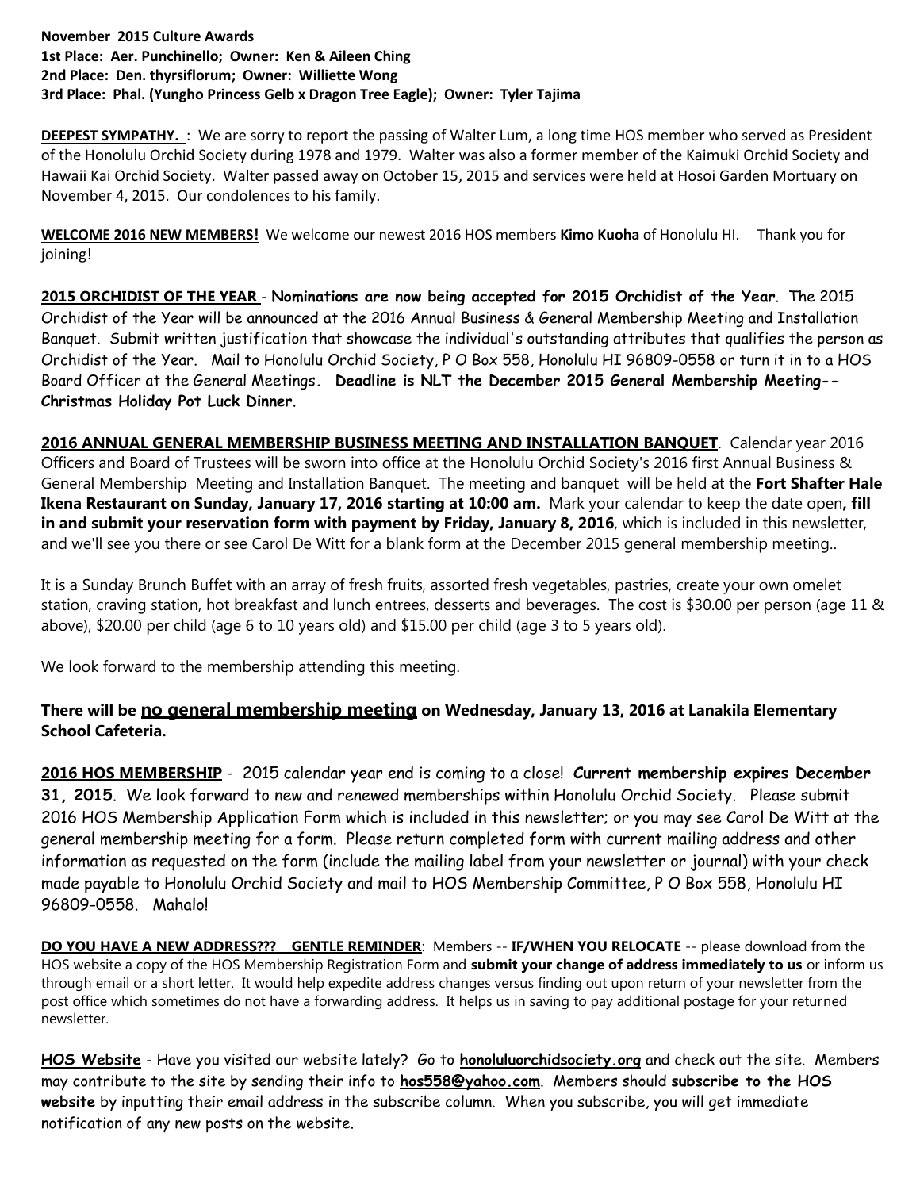## **November 2015 Culture Awards 1st Place: Aer. Punchinello; Owner: Ken & Aileen Ching 2nd Place: Den. thyrsiflorum; Owner: Williette Wong 3rd Place: Phal. (Yungho Princess Gelb x Dragon Tree Eagle); Owner: Tyler Tajima**

**DEEPEST SYMPATHY.** : We are sorry to report the passing of Walter Lum, a long time HOS member who served as President of the Honolulu Orchid Society during 1978 and 1979. Walter was also a former member of the Kaimuki Orchid Society and Hawaii Kai Orchid Society. Walter passed away on October 15, 2015 and services were held at Hosoi Garden Mortuary on November 4, 2015. Our condolences to his family.

**WELCOME 2016 NEW MEMBERS!** We welcome our newest 2016 HOS members **Kimo Kuoha** of Honolulu HI. Thank you for joining!

**2015 ORCHIDIST OF THE YEAR** - **Nominations are now being accepted for 2015 Orchidist of the Year**. The 2015 Orchidist of the Year will be announced at the 2016 Annual Business & General Membership Meeting and Installation Banquet. Submit written justification that showcase the individual's outstanding attributes that qualifies the person as Orchidist of the Year. Mail to Honolulu Orchid Society, P O Box 558, Honolulu HI 96809-0558 or turn it in to a HOS Board Officer at the General Meetings**. Deadline is NLT the December 2015 General Membership Meeting-- Christmas Holiday Pot Luck Dinner**.

**2016 ANNUAL GENERAL MEMBERSHIP BUSINESS MEETING AND INSTALLATION BANQUET**. Calendar year 2016 Officers and Board of Trustees will be sworn into office at the Honolulu Orchid Society's 2016 first Annual Business & General Membership Meeting and Installation Banquet. The meeting and banquet will be held at the **Fort Shafter Hale Ikena Restaurant on Sunday, January 17, 2016 starting at 10:00 am.** Mark your calendar to keep the date open**, fill in and submit your reservation form with payment by Friday, January 8, 2016**, which is included in this newsletter, and we'll see you there or see Carol De Witt for a blank form at the December 2015 general membership meeting..

It is a Sunday Brunch Buffet with an array of fresh fruits, assorted fresh vegetables, pastries, create your own omelet station, craving station, hot breakfast and lunch entrees, desserts and beverages. The cost is \$30.00 per person (age 11 & above), \$20.00 per child (age 6 to 10 years old) and \$15.00 per child (age 3 to 5 years old).

We look forward to the membership attending this meeting.

## **There will be no general membership meeting on Wednesday, January 13, 2016 at Lanakila Elementary School Cafeteria.**

**2016 HOS MEMBERSHIP** - 2015 calendar year end is coming to a close! **Current membership expires December 31, 2015**. We look forward to new and renewed memberships within Honolulu Orchid Society. Please submit 2016 HOS Membership Application Form which is included in this newsletter; or you may see Carol De Witt at the general membership meeting for a form. Please return completed form with current mailing address and other information as requested on the form (include the mailing label from your newsletter or journal) with your check made payable to Honolulu Orchid Society and mail to HOS Membership Committee, P O Box 558, Honolulu HI 96809-0558. Mahalo!

**DO YOU HAVE A NEW ADDRESS??? GENTLE REMINDER**: Members -- **IF/WHEN YOU RELOCATE** -- please download from the HOS website a copy of the HOS Membership Registration Form and **submit your change of address immediately to us** or inform us through email or a short letter. It would help expedite address changes versus finding out upon return of your newsletter from the post office which sometimes do not have a forwarding address. It helps us in saving to pay additional postage for your returned newsletter.

**HOS Website** - Have you visited our website lately? Go to **honoluluorchidsociety.org** and check out the site. Members may contribute to the site by sending their info to **hos558@yahoo.com**. Members should **subscribe to the HOS website** by inputting their email address in the subscribe column. When you subscribe, you will get immediate notification of any new posts on the website.